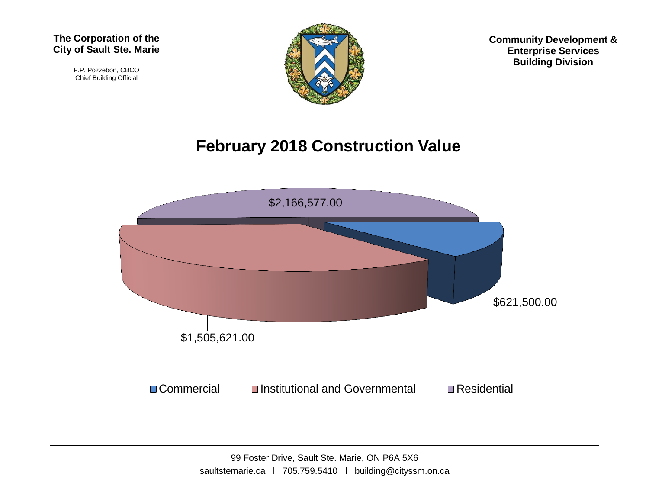F.P. Pozzebon, CBCO Chief Building Official



**Community Development & Enterprise Services Building Division**

## **February 2018 Construction Value**

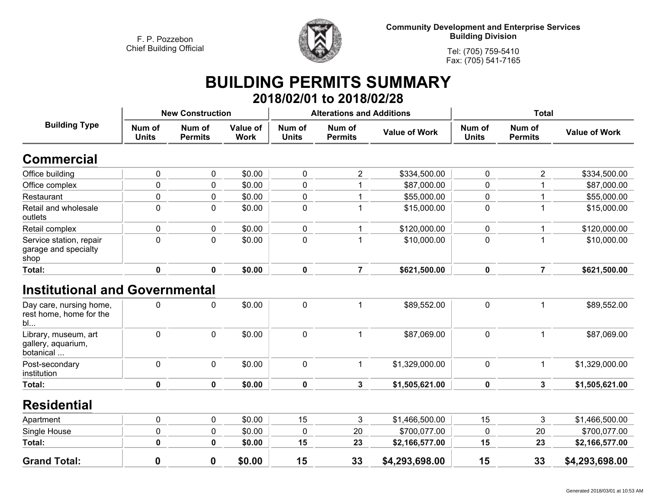

**Community Development and Enterprise Services Building Division**

**Tel: (705) 759-5410Fax: (705) 541-7165**

## **BUILDING PERMITS SUMMARY 2018/02/01 to 2018/02/28**

| <b>Building Type</b>                                     | <b>New Construction</b> |                          |                         |                        | <b>Alterations and Additions</b> |                      | <b>Total</b>           |                          |                      |
|----------------------------------------------------------|-------------------------|--------------------------|-------------------------|------------------------|----------------------------------|----------------------|------------------------|--------------------------|----------------------|
|                                                          | Num of<br><b>Units</b>  | Num of<br><b>Permits</b> | Value of<br><b>Work</b> | Num of<br><b>Units</b> | Num of<br><b>Permits</b>         | <b>Value of Work</b> | Num of<br><b>Units</b> | Num of<br><b>Permits</b> | <b>Value of Work</b> |
| <b>Commercial</b>                                        |                         |                          |                         |                        |                                  |                      |                        |                          |                      |
| Office building                                          | $\mathbf 0$             | 0                        | \$0.00                  | $\mathbf 0$            | $\overline{2}$                   | \$334,500.00         | 0                      | $\overline{2}$           | \$334,500.00         |
| Office complex                                           | $\mathbf 0$             | 0                        | \$0.00                  | $\mathbf 0$            | 1                                | \$87,000.00          | 0                      |                          | \$87,000.00          |
| Restaurant                                               | $\pmb{0}$               | 0                        | \$0.00                  | $\mathbf 0$            | $\mathbf{1}$                     | \$55,000.00          | 0                      |                          | \$55,000.00          |
| Retail and wholesale<br>outlets                          | $\mathbf 0$             | 0                        | \$0.00                  | $\mathbf 0$            | 1                                | \$15,000.00          | 0                      |                          | \$15,000.00          |
| Retail complex                                           | $\mathbf 0$             | 0                        | \$0.00                  | $\mathbf 0$            | 1                                | \$120,000.00         | 0                      |                          | \$120,000.00         |
| Service station, repair<br>garage and specialty<br>shop  | 0                       | $\Omega$                 | \$0.00                  | $\mathbf 0$            | 1                                | \$10,000.00          | 0                      |                          | \$10,000.00          |
| <b>Total:</b>                                            | $\mathbf 0$             | $\bf{0}$                 | \$0.00                  | $\mathbf 0$            | $\overline{7}$                   | \$621,500.00         | $\mathbf 0$            | $\overline{7}$           | \$621,500.00         |
| <b>Institutional and Governmental</b>                    |                         |                          |                         |                        |                                  |                      |                        |                          |                      |
| Day care, nursing home,<br>rest home, home for the<br>bl | $\mathbf{0}$            | $\mathbf{0}$             | \$0.00                  | $\mathbf 0$            | 1                                | \$89,552.00          | $\mathbf 0$            | 1                        | \$89,552.00          |
| Library, museum, art<br>gallery, aquarium,<br>botanical  | $\mathbf 0$             | 0                        | \$0.00                  | $\mathbf 0$            | $\mathbf{1}$                     | \$87,069.00          | 0                      | $\mathbf{1}$             | \$87,069.00          |
| Post-secondary<br>institution                            | $\mathbf 0$             | 0                        | \$0.00                  | $\mathbf 0$            | $\mathbf{1}$                     | \$1,329,000.00       | 0                      | $\mathbf{1}$             | \$1,329,000.00       |
| <b>Total:</b>                                            | $\mathbf 0$             | $\mathbf 0$              | \$0.00                  | $\mathbf 0$            | $\mathbf{3}$                     | \$1,505,621.00       | 0                      | $\mathbf{3}$             | \$1,505,621.00       |
| <b>Residential</b>                                       |                         |                          |                         |                        |                                  |                      |                        |                          |                      |
| Apartment                                                | $\mathbf 0$             | 0                        | \$0.00                  | 15                     | 3                                | \$1,466,500.00       | 15                     | 3                        | \$1,466,500.00       |
| Single House                                             | $\pmb{0}$               | 0                        | \$0.00                  | $\mathbf 0$            | 20                               | \$700,077.00         | 0                      | 20                       | \$700,077.00         |
| Total:                                                   | $\mathbf 0$             | $\mathbf 0$              | \$0.00                  | 15                     | 23                               | \$2,166,577.00       | 15                     | 23                       | \$2,166,577.00       |
| <b>Grand Total:</b>                                      | $\mathbf 0$             | $\boldsymbol{0}$         | \$0.00                  | 15                     | 33                               | \$4,293,698.00       | 15                     | 33                       | \$4,293,698.00       |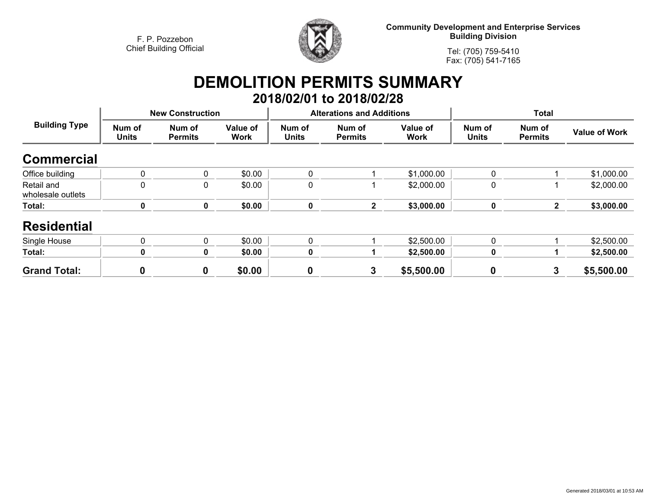

**Community Development and Enterprise Services Building Division**

**Tel: (705) 759-5410Fax: (705) 541-7165**

## **DEMOLITION PERMITS SUMMARY 2018/02/01 to 2018/02/28**

| <b>Building Type</b>            |                        | <b>New Construction</b>  |                         |                        | <b>Alterations and Additions</b> |                         | <b>Total</b>           |                          |                      |
|---------------------------------|------------------------|--------------------------|-------------------------|------------------------|----------------------------------|-------------------------|------------------------|--------------------------|----------------------|
|                                 | Num of<br><b>Units</b> | Num of<br><b>Permits</b> | Value of<br><b>Work</b> | Num of<br><b>Units</b> | Num of<br><b>Permits</b>         | Value of<br><b>Work</b> | Num of<br><b>Units</b> | Num of<br><b>Permits</b> | <b>Value of Work</b> |
| <b>Commercial</b>               |                        |                          |                         |                        |                                  |                         |                        |                          |                      |
| Office building                 | $\mathbf 0$            | 0                        | \$0.00                  | 0                      |                                  | \$1,000.00              | $\mathbf{0}$           |                          | \$1,000.00           |
| Retail and<br>wholesale outlets | $\mathbf 0$            | 0                        | \$0.00                  | 0                      |                                  | \$2,000.00              | 0                      |                          | \$2,000.00           |
| Total:                          | $\bf{0}$               | $\mathbf 0$              | \$0.00                  | 0                      | $\overline{2}$                   | \$3,000.00              | $\pmb{0}$              | $\mathbf{2}$             | \$3,000.00           |
| <b>Residential</b>              |                        |                          |                         |                        |                                  |                         |                        |                          |                      |
| Single House                    | $\mathbf 0$            | 0                        | \$0.00                  | 0                      |                                  | \$2,500.00              | $\mathbf 0$            |                          | \$2,500.00           |
| Total:                          | 0                      | 0                        | \$0.00                  | 0                      |                                  | \$2,500.00              | $\mathbf 0$            |                          | \$2,500.00           |
| <b>Grand Total:</b>             | 0                      | $\mathbf 0$              | \$0.00                  | 0                      | 3                                | \$5,500.00              | $\boldsymbol{0}$       | 3                        | \$5,500.00           |